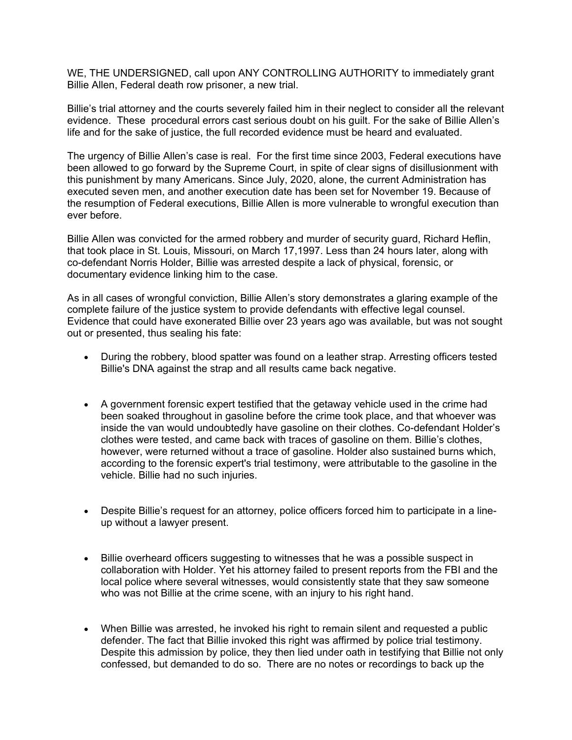WE, THE UNDERSIGNED, call upon ANY CONTROLLING AUTHORITY to immediately grant Billie Allen, Federal death row prisoner, a new trial.

Billie's trial attorney and the courts severely failed him in their neglect to consider all the relevant evidence. These procedural errors cast serious doubt on his guilt. For the sake of Billie Allen's life and for the sake of justice, the full recorded evidence must be heard and evaluated.

The urgency of Billie Allen's case is real. For the first time since 2003, Federal executions have been allowed to go forward by the Supreme Court, in spite of clear signs of disillusionment with this punishment by many Americans. Since July, 2020, alone, the current Administration has executed seven men, and another execution date has been set for November 19. Because of the resumption of Federal executions, Billie Allen is more vulnerable to wrongful execution than ever before.

Billie Allen was convicted for the armed robbery and murder of security guard, Richard Heflin, that took place in St. Louis, Missouri, on March 17,1997. Less than 24 hours later, along with co-defendant Norris Holder, Billie was arrested despite a lack of physical, forensic, or documentary evidence linking him to the case.

As in all cases of wrongful conviction, Billie Allen's story demonstrates a glaring example of the complete failure of the justice system to provide defendants with effective legal counsel. Evidence that could have exonerated Billie over 23 years ago was available, but was not sought out or presented, thus sealing his fate:

- During the robbery, blood spatter was found on a leather strap. Arresting officers tested Billie's DNA against the strap and all results came back negative.
- A government forensic expert testified that the getaway vehicle used in the crime had been soaked throughout in gasoline before the crime took place, and that whoever was inside the van would undoubtedly have gasoline on their clothes. Co-defendant Holder's clothes were tested, and came back with traces of gasoline on them. Billie's clothes, however, were returned without a trace of gasoline. Holder also sustained burns which, according to the forensic expert's trial testimony, were attributable to the gasoline in the vehicle. Billie had no such injuries.
- Despite Billie's request for an attorney, police officers forced him to participate in a lineup without a lawyer present.
- Billie overheard officers suggesting to witnesses that he was a possible suspect in collaboration with Holder. Yet his attorney failed to present reports from the FBI and the local police where several witnesses, would consistently state that they saw someone who was not Billie at the crime scene, with an injury to his right hand.
- When Billie was arrested, he invoked his right to remain silent and requested a public defender. The fact that Billie invoked this right was affirmed by police trial testimony. Despite this admission by police, they then lied under oath in testifying that Billie not only confessed, but demanded to do so. There are no notes or recordings to back up the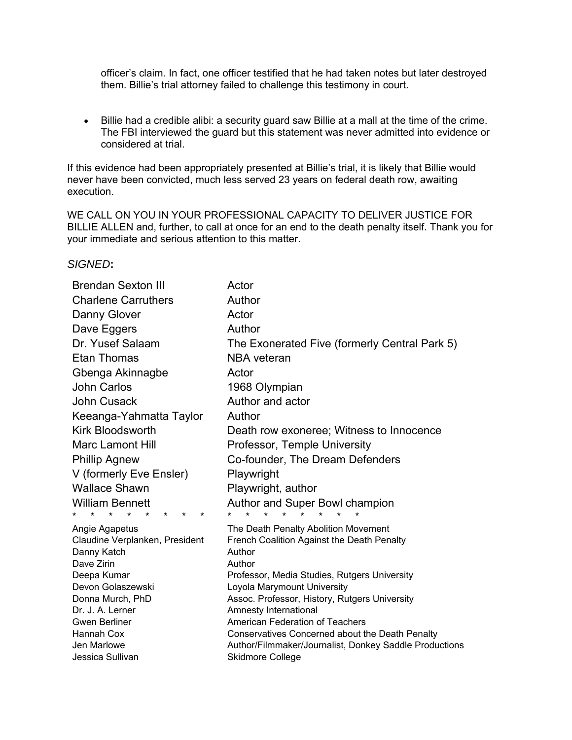officer's claim. In fact, one officer testified that he had taken notes but later destroyed them. Billie's trial attorney failed to challenge this testimony in court.

 Billie had a credible alibi: a security guard saw Billie at a mall at the time of the crime. The FBI interviewed the guard but this statement was never admitted into evidence or considered at trial.

If this evidence had been appropriately presented at Billie's trial, it is likely that Billie would never have been convicted, much less served 23 years on federal death row, awaiting execution.

WE CALL ON YOU IN YOUR PROFESSIONAL CAPACITY TO DELIVER JUSTICE FOR BILLIE ALLEN and, further, to call at once for an end to the death penalty itself. Thank you for your immediate and serious attention to this matter.

## *SIGNED***:**

| <b>Brendan Sexton III</b>                                     | Actor                                                  |
|---------------------------------------------------------------|--------------------------------------------------------|
| <b>Charlene Carruthers</b>                                    | Author                                                 |
| Danny Glover                                                  | Actor                                                  |
| Dave Eggers                                                   | Author                                                 |
| Dr. Yusef Salaam                                              | The Exonerated Five (formerly Central Park 5)          |
| <b>Etan Thomas</b>                                            | <b>NBA</b> veteran                                     |
| Gbenga Akinnagbe                                              | Actor                                                  |
| <b>John Carlos</b>                                            | 1968 Olympian                                          |
| John Cusack                                                   | Author and actor                                       |
| Keeanga-Yahmatta Taylor                                       | Author                                                 |
| <b>Kirk Bloodsworth</b>                                       | Death row exoneree; Witness to Innocence               |
| <b>Marc Lamont Hill</b>                                       | Professor, Temple University                           |
| <b>Phillip Agnew</b>                                          | Co-founder, The Dream Defenders                        |
| V (formerly Eve Ensler)                                       | Playwright                                             |
| <b>Wallace Shawn</b>                                          | Playwright, author                                     |
| <b>William Bennett</b>                                        | Author and Super Bowl champion                         |
| $\star$<br>$\star$<br>$\star$<br>÷<br>$\star$<br>$\star$<br>÷ |                                                        |
| Angie Agapetus                                                | The Death Penalty Abolition Movement                   |
| Claudine Verplanken, President                                | French Coalition Against the Death Penalty             |
| Danny Katch                                                   | Author                                                 |
| Dave Zirin                                                    | Author                                                 |
| Deepa Kumar                                                   | Professor, Media Studies, Rutgers University           |
| Devon Golaszewski                                             | Loyola Marymount University                            |
| Donna Murch, PhD                                              | Assoc. Professor, History, Rutgers University          |
| Dr. J. A. Lerner                                              | Amnesty International                                  |
| <b>Gwen Berliner</b>                                          | <b>American Federation of Teachers</b>                 |
| Hannah Cox                                                    | Conservatives Concerned about the Death Penalty        |
| Jen Marlowe                                                   | Author/Filmmaker/Journalist, Donkey Saddle Productions |
| Jessica Sullivan                                              | Skidmore College                                       |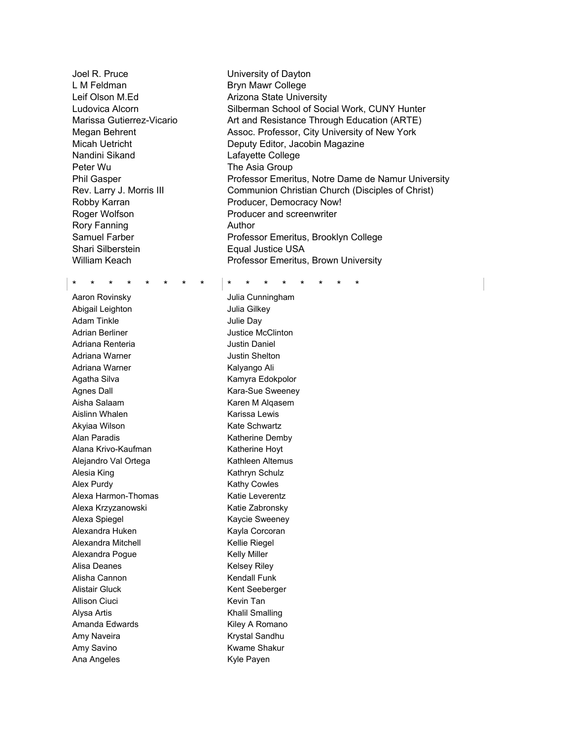Joel R. Pruce University of Dayton L M Feldman Bryn Mawr College Leif Olson M.Ed **Arizona State University** Ludovica Alcorn **Silberman School of Social Work, CUNY Hunter** Marissa Gutierrez-Vicario **Art and Resistance Through Education (ARTE)** Megan Behrent **Assoc. Professor, City University of New York** Micah Uetricht Deputy Editor, Jacobin Magazine Nandini Sikand Lafayette College Peter Wu **The Asia Group** Phil Gasper **Professor Emeritus, Notre Dame de Namur University** Rev. Larry J. Morris III Communion Christian Church (Disciples of Christ) Robby Karran **Producer**, Democracy Now! Roger Wolfson **Producer** and screenwriter Rory Fanning **Author** Samuel Farber **Professor Emeritus, Brooklyn College** Shari Silberstein **Equal Justice USA** William Keach **Professor Emeritus, Brown University** \* \* \* \* \* \* \* \* \* \* \* \* \* \* \* \* Aaron Rovinsky **Aaron Rovinsky** Julia Cunningham Abigail Leighton **Julia Gilkey** Adam Tinkle **Julie Day** Adrian Berliner **Adrian Berliner** Justice McClinton Adriana Renteria Justin Daniel Adriana Warner **Matter Shelton** Justin Shelton Adriana Warner **Kalyango Ali** Agatha Silva **Kamyra Edokpolor** Agnes Dall **Agnes Dall Kara-Sue Sweeney** Aisha Salaam **Karen M** Alqasem Aislinn Whalen **Karissa Lewis** Akyiaa Wilson **Kate Schwartz** Alan Paradis **Katherine Demby** Alana Krivo-Kaufman Katherine Hovt Alejandro Val Ortega Kathleen Altemus Alesia King **Kathryn Schulz** Alex Purdy **Kathy Cowles** Alexa Harmon-Thomas Katie Leverentz Alexa Krzyzanowski Katie Zabronsky Alexa Spiegel **Kaycie Sweeney** Alexandra Huken Kayla Corcoran Alexandra Mitchell **Kellie Riegel** Kellie Riegel Alexandra Pogue **Kelly Miller** Alisa Deanes **Kelsey Riley** Alisha Cannon **Kendall Funk** Alistair Gluck **Kent Seeberger** Allison Ciuci **Kevin Tan** Alysa Artis **Khalil Smalling** Amanda Edwards **Kiley A Romano** Amy Naveira **Krystal Sandhu** Amy Savino **KWAME Shakur** Kwame Shakur Ana Angeles **Kyle Payen**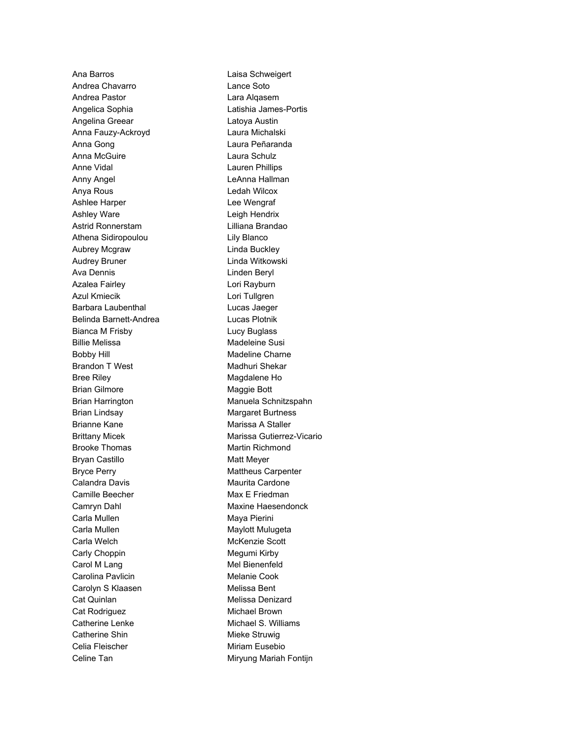Ana Barros **Laisa Schweigert** Andrea Chavarro Lance Soto Andrea Pastor **Lara Alqasem** Angelica Sophia Latishia James-Portis Angelina Greear **Latoya Austin** Anna Fauzy-Ackroyd Laura Michalski Anna Gong **Laura Peñaranda** Anna McGuire **Laura Schulz** Anne Vidal **Lauren Phillips** Anny Angel **Anny Angel** Communist Communist LeAnna Hallman Anya Rous Ledah Wilcox Ashlee Harper **Lee Wengraf** Ashley Ware **Leigh Hendrix** Astrid Ronnerstam Lilliana Brandao Athena Sidiropoulou Lily Blanco Aubrey Mcgraw Linda Buckley Audrey Bruner **Linda Witkowski** Ava Dennis Linden Beryl Azalea Fairley **Louis Azalea** Fairley Azul Kmiecik **Lori Tullgren** Barbara Laubenthal **Exercise Search Accept** Lucas Jaeger Belinda Barnett-Andrea Lucas Plotnik Bianca M Frisby **Lucy Buglass** Billie Melissa Madeleine Susi Bobby Hill **Madeline Charne** Brandon T West Madhuri Shekar Bree Riley **Magdalene** Ho Brian Gilmore **Maggie Bott** Brian Harrington Manuela Schnitzspahn Brian Lindsay **Margaret Burtness** Brianne Kane Marissa A Staller Brooke Thomas **Martin Richmond** Bryan Castillo **Matt Meyer** Matt Meyer Bryce Perry **Mattheus Carpenter** Calandra Davis **Maurita** Cardone Camille Beecher **Max E** Friedman Camryn Dahl **Maxine Haesendonck** Carla Mullen **Maya Pierini** Maya Pierini Carla Mullen Maylott Mulugeta Carla Welch **McKenzie** Scott Carly Choppin **Megumi Kirby** Carol M Lang Mel Bienenfeld Carolina Pavlicin **Melanie Cook** Carolyn S Klaasen Melissa Bent Cat Quinlan **Melissa** Denizard Cat Rodriguez **Michael Brown** Catherine Lenke Michael S. Williams Catherine Shin Mieke Struwig Celia Fleischer Miriam Eusebio Celine Tan **Miryung Mariah Fontijn** 

Brittany Micek Marissa Gutierrez-Vicario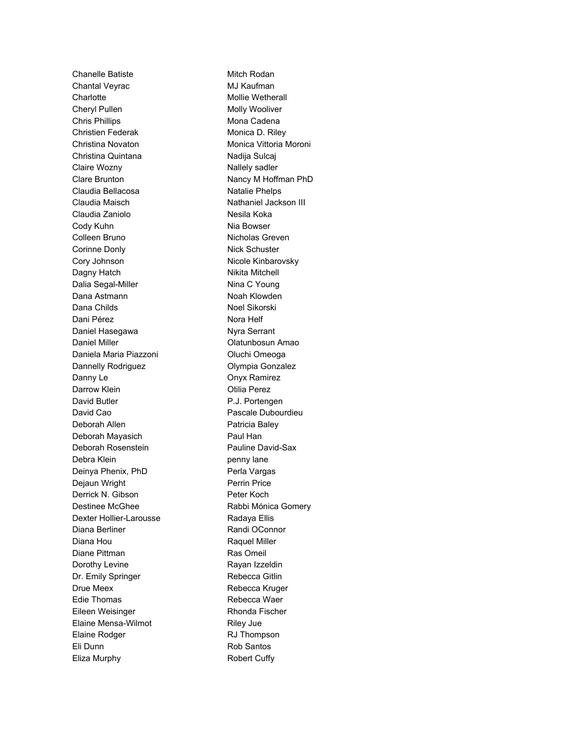Chanelle Batiste **Mitch Rodan** Chantal Veyrac **MJ** Kaufman Charlotte Mollie Wetherall Cheryl Pullen Molly Wooliver Chris Phillips **Mona Cadena** Christien Federak Monica D. Riley Christina Novaton **Monica Vittoria Moroni** Christina Quintana Nadija Sulcaj Claire Wozny **Nallely** sadler Clare Brunton Nancy M Hoffman PhD Claudia Bellacosa Natalie Phelps Claudia Maisch Nathaniel Jackson III Claudia Zaniolo **Nesila Koka** Cody Kuhn Nia Bowser Colleen Bruno **Nicholas Greven** Corinne Donly **Nick Schuster** Cory Johnson Nicole Kinbarovsky Dagny Hatch Nikita Mitchell Dalia Segal-Miller Nina C Young Dana Astmann Noah Klowden Dana Childs Noel Sikorski Dani Pérez Nora Helf Daniel Hasegawa Nyra Serrant Daniel Miller **Contract Contract Contract Contract Contract Contract Contract Contract Contract Contract Contract Contract Contract Contract Contract Contract Contract Contract Contract Contract Contract Contract Contract** Daniela Maria Piazzoni **Caratter Contracte Contracte Dividendi** Oluchi Omeoga Dannelly Rodriguez **Constanting Constanting Convention** Olympia Gonzalez Danny Le **Danny Le Conyx Ramirez** Darrow Klein **Darrow Klein Darrow Klein Darrow Klein** David Butler **P.J. Portengen** David Cao **Pascale Dubourdieu** Deborah Allen **Patricia Baley** Deborah Mayasich **Paul Han** Deborah Rosenstein **Pauline David-Sax** Debra Klein **penny lane** Deinya Phenix, PhD Perla Vargas Dejaun Wright **Perrin Price** Derrick N. Gibson **Peter Koch** Destinee McGhee **Rabbi Mónica Gomery** Dexter Hollier-Larousse Radaya Ellis Diana Berliner **Randi OConnor** Randi OConnor Diana Hou **Raquel Miller** Diane Pittman **Ras Omeil** Dorothy Levine **Rayan Izzeldin** Dr. Emily Springer **Rebecca Gitlin** Drue Meex **Rebecca** Kruger Edie Thomas **Rebecca Waer** Eileen Weisinger **Rhonda Fischer** Elaine Mensa-Wilmot **Riley Jue** Elaine Rodger **RJ Thompson** Eli Dunn Rob Santos Eliza Murphy **Robert Cuffy**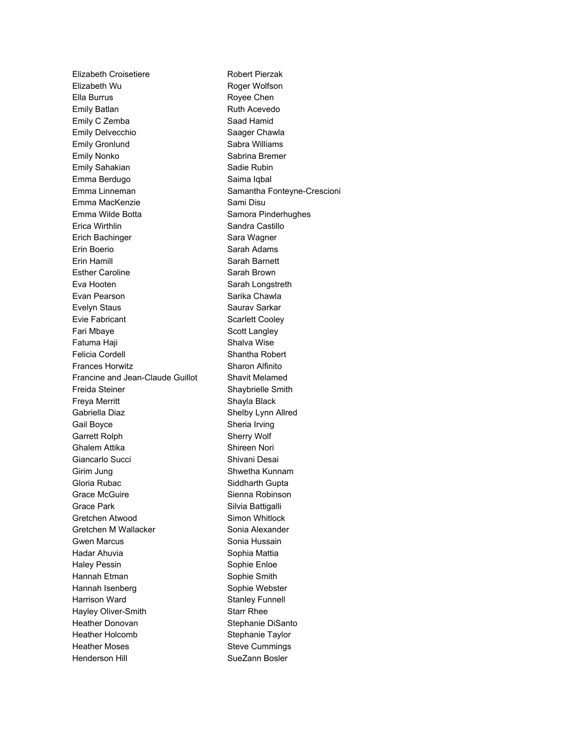Elizabeth Croisetiere **Robert Pierzak** Elizabeth Wu **Roger Wolfson** Ella Burrus **Ella Burrus** Royee Chen Emily Batlan **Ruth Acevedo** Emily C Zemba Saad Hamid Emily Delvecchio Saager Chawla Emily Gronlund **Sabra Williams** Emily Nonko **Sabrina Bremer** Emily Sahakian Sadie Rubin Emma Berdugo **Saima Iqbal** Emma Linneman Samantha Fonteyne-Crescioni Emma MacKenzie Sami Disu Emma Wilde Botta Samora Pinderhughes Erica Wirthlin Sandra Castillo Erich Bachinger **Sara Wagner** Sara Wagner Erin Boerio Sarah Adams Erin Hamill **Sarah Barnett** Esther Caroline **Sarah Brown** Eva Hooten Sarah Longstreth Evan Pearson **Sarika Chawla** Evelyn Staus Saurav Saurav Sarkar Evie Fabricant **Scarlett Cooley** Fari Mbaye **Scott Langley** Scott Langley Fatuma Haji **Nama Kata Tanggarta Kabupatén Shalva Wise** Felicia Cordell **Shantha Robert** Frances Horwitz **Sharon Alfinito** Francine and Jean-Claude Guillot Shavit Melamed Freida Steiner Shaybrielle Smith Freya Merritt **Shayla Black** Shayla Black Gabriella Diaz **Shelby Lynn Allred** Gail Boyce Sheria Irving Garrett Rolph Sherry Wolf Ghalem Attika Shireen Nori Giancarlo Succi **Shivani Desai** Girim Jung **Shwetha Kunnam** Gloria Rubac **Siddharth Gupta** Grace McGuire **Sienna Robinson** Grace Park **Silvia Battigalli** Gretchen Atwood Simon Whitlock Gretchen M Wallacker Sonia Alexander Gwen Marcus **Sonia Hussain** Hadar Ahuvia **National Sophia Mattia** Haley Pessin Sophie Enloe Hannah Etman Sophie Smith Hannah Isenberg **Sophie Webster** Harrison Ward **Stanley Funnell** Hayley Oliver-Smith Starr Rhee Heather Donovan Stephanie DiSanto Heather Holcomb Stephanie Taylor Heather Moses **Steve Cummings** Henderson Hill **SueZann Bosler**